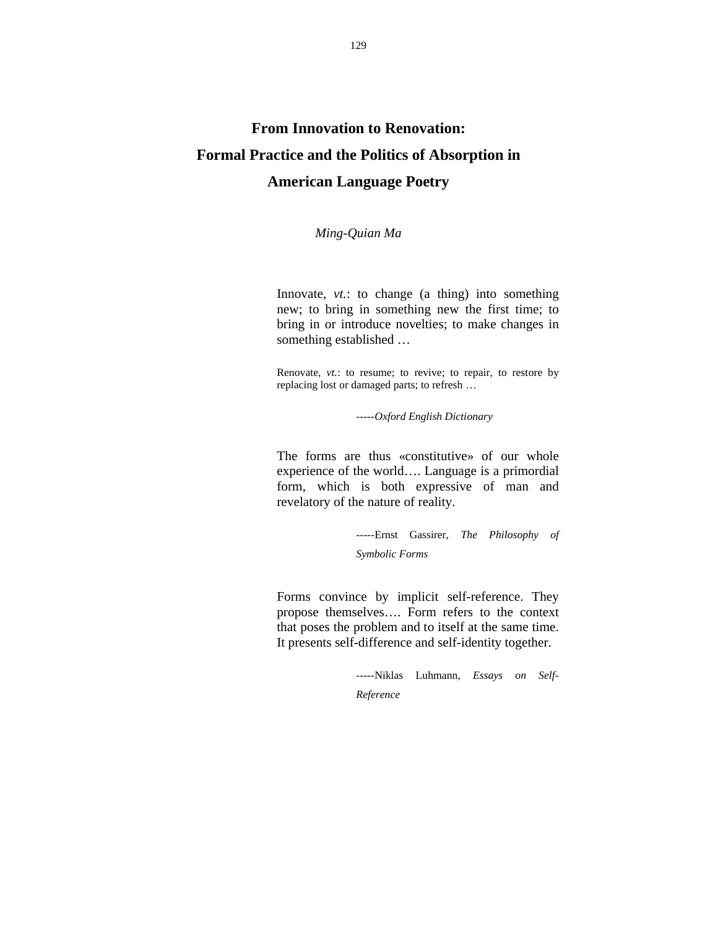## **From Innovation to Renovation: Formal Practice and the Politics of Absorption in American Language Poetry**

*Ming-Quian Ma*

Innovate, *vt.*: to change (a thing) into something new; to bring in something new the first time; to bring in or introduce novelties; to make changes in something established …

Renovate, *vt.*: to resume; to revive; to repair, to restore by replacing lost or damaged parts; to refresh …

-----*Oxford English Dictionary*

The forms are thus «constitutive» of our whole experience of the world…. Language is a primordial form, which is both expressive of man and revelatory of the nature of reality.

> -----Ernst Gassirer, *The Philosophy of Symbolic Forms*

Forms convince by implicit self-reference. They propose themselves…. Form refers to the context that poses the problem and to itself at the same time. It presents self-difference and self-identity together.

> -----Niklas Luhmann, *Essays on Self-Reference*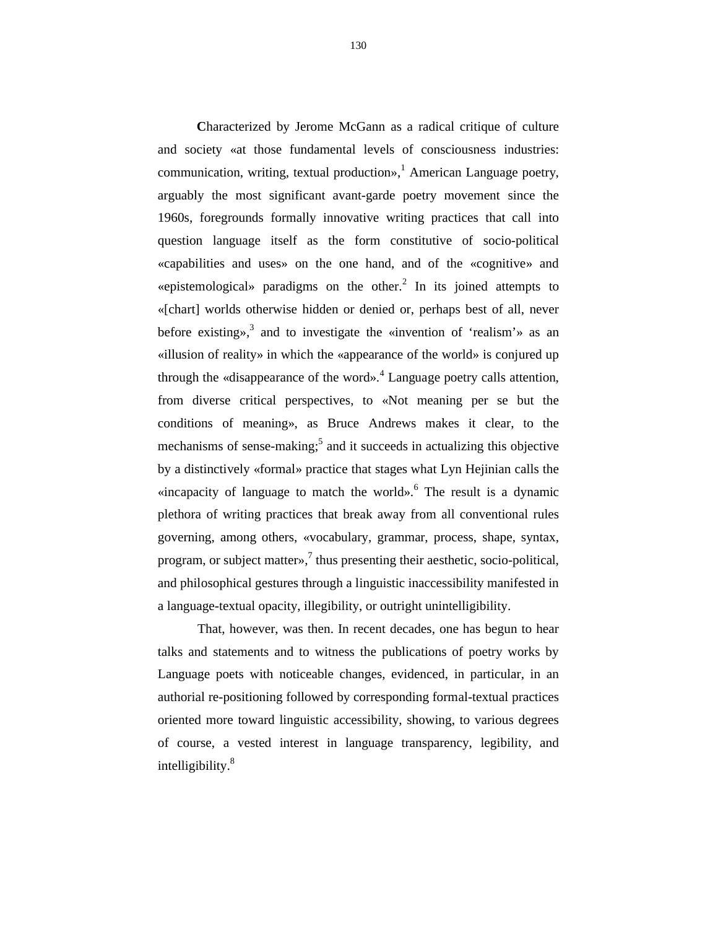**C**haracterized by Jerome McGann as a radical critique of culture and society «at those fundamental levels of consciousness industries: communication, writing, textual production»,<sup>1</sup> American Language poetry, arguably the most significant avant-garde poetry movement since the 1960s, foregrounds formally innovative writing practices that call into question language itself as the form constitutive of socio-political «capabilities and uses» on the one hand, and of the «cognitive» and «epistemological» paradigms on the other.<sup>2</sup> In its joined attempts to «[chart] worlds otherwise hidden or denied or, perhaps best of all, never before existing»,<sup>3</sup> and to investigate the «invention of 'realism'» as an «illusion of reality» in which the «appearance of the world» is conjured up through the «disappearance of the word».<sup>4</sup> Language poetry calls attention, from diverse critical perspectives, to «Not meaning per se but the conditions of meaning», as Bruce Andrews makes it clear, to the mechanisms of sense-making;<sup>5</sup> and it succeeds in actualizing this objective by a distinctively «formal» practice that stages what Lyn Hejinian calls the «incapacity of language to match the world».<sup>6</sup> The result is a dynamic plethora of writing practices that break away from all conventional rules governing, among others, «vocabulary, grammar, process, shape, syntax, program, or subject matter», $\frac{7}{7}$  thus presenting their aesthetic, socio-political, and philosophical gestures through a linguistic inaccessibility manifested in a language-textual opacity, illegibility, or outright unintelligibility.

That, however, was then. In recent decades, one has begun to hear talks and statements and to witness the publications of poetry works by Language poets with noticeable changes, evidenced, in particular, in an authorial re-positioning followed by corresponding formal-textual practices oriented more toward linguistic accessibility, showing, to various degrees of course, a vested interest in language transparency, legibility, and intelligibility. $8<sup>8</sup>$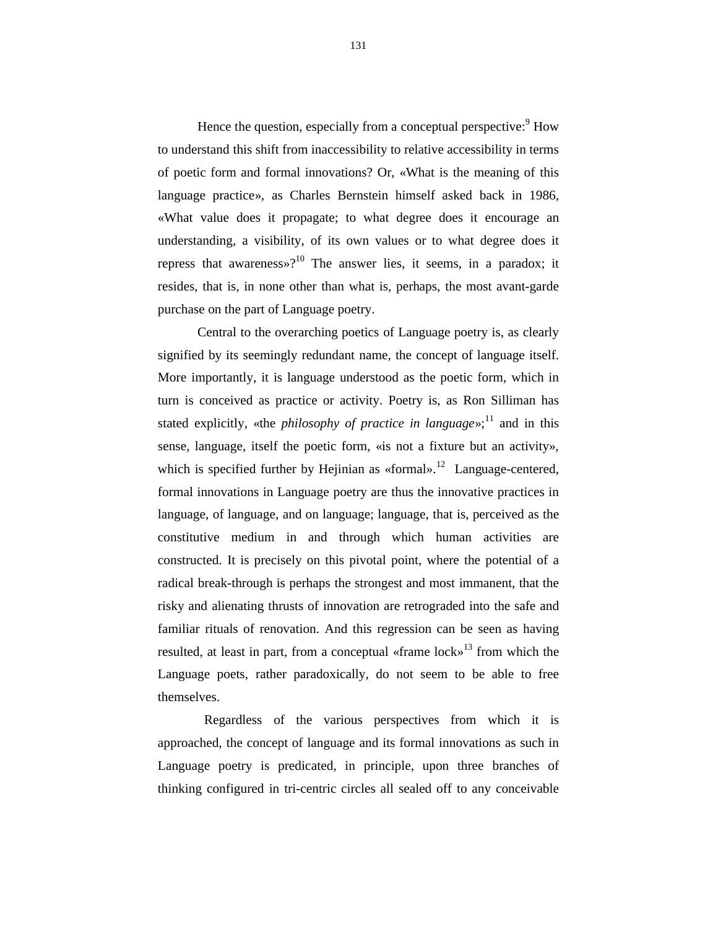Hence the question, especially from a conceptual perspective:  $9$  How to understand this shift from inaccessibility to relative accessibility in terms of poetic form and formal innovations? Or, «What is the meaning of this language practice», as Charles Bernstein himself asked back in 1986, «What value does it propagate; to what degree does it encourage an understanding, a visibility, of its own values or to what degree does it repress that awareness»?<sup>10</sup> The answer lies, it seems, in a paradox; it resides, that is, in none other than what is, perhaps, the most avant-garde purchase on the part of Language poetry.

Central to the overarching poetics of Language poetry is, as clearly signified by its seemingly redundant name, the concept of language itself. More importantly, it is language understood as the poetic form, which in turn is conceived as practice or activity. Poetry is, as Ron Silliman has stated explicitly, «the *philosophy of practice in language*»;<sup>11</sup> and in this sense, language, itself the poetic form, «is not a fixture but an activity», which is specified further by Hejinian as «formal».<sup>12</sup> Language-centered, formal innovations in Language poetry are thus the innovative practices in language, of language, and on language; language, that is, perceived as the constitutive medium in and through which human activities are constructed. It is precisely on this pivotal point, where the potential of a radical break-through is perhaps the strongest and most immanent, that the risky and alienating thrusts of innovation are retrograded into the safe and familiar rituals of renovation. And this regression can be seen as having resulted, at least in part, from a conceptual «frame lock»<sup>13</sup> from which the Language poets, rather paradoxically, do not seem to be able to free themselves.

 Regardless of the various perspectives from which it is approached, the concept of language and its formal innovations as such in Language poetry is predicated, in principle, upon three branches of thinking configured in tri-centric circles all sealed off to any conceivable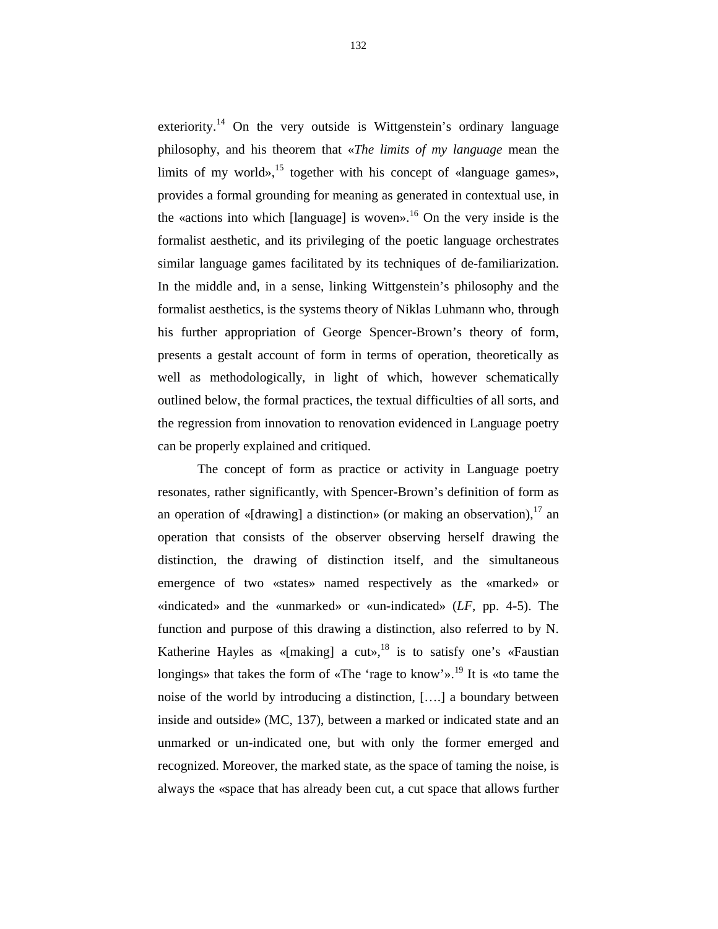exteriority.<sup>14</sup> On the very outside is Wittgenstein's ordinary language philosophy, and his theorem that «*The limits of my language* mean the limits of my world»,  $^{15}$  together with his concept of «language games», provides a formal grounding for meaning as generated in contextual use, in the «actions into which [language] is woven».<sup>16</sup> On the very inside is the formalist aesthetic, and its privileging of the poetic language orchestrates similar language games facilitated by its techniques of de-familiarization. In the middle and, in a sense, linking Wittgenstein's philosophy and the formalist aesthetics, is the systems theory of Niklas Luhmann who, through his further appropriation of George Spencer-Brown's theory of form, presents a gestalt account of form in terms of operation, theoretically as well as methodologically, in light of which, however schematically outlined below, the formal practices, the textual difficulties of all sorts, and the regression from innovation to renovation evidenced in Language poetry can be properly explained and critiqued.

The concept of form as practice or activity in Language poetry resonates, rather significantly, with Spencer-Brown's definition of form as an operation of «[drawing] a distinction» (or making an observation),  $17$  an operation that consists of the observer observing herself drawing the distinction, the drawing of distinction itself, and the simultaneous emergence of two «states» named respectively as the «marked» or «indicated» and the «unmarked» or «un-indicated» (*LF*, pp. 4-5). The function and purpose of this drawing a distinction, also referred to by N. Katherine Hayles as «[making] a cut»,<sup>18</sup> is to satisfy one's «Faustian longings» that takes the form of «The 'rage to know'».<sup>19</sup> It is «to tame the noise of the world by introducing a distinction, [….] a boundary between inside and outside» (MC, 137), between a marked or indicated state and an unmarked or un-indicated one, but with only the former emerged and recognized. Moreover, the marked state, as the space of taming the noise, is always the «space that has already been cut, a cut space that allows further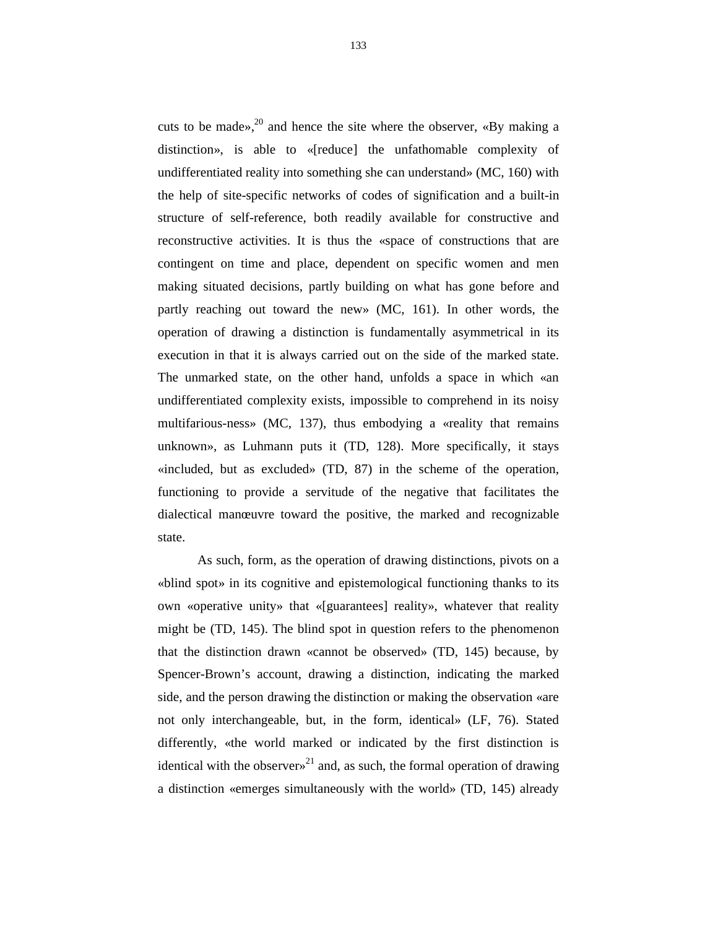cuts to be made»,<sup>20</sup> and hence the site where the observer, «By making a distinction», is able to «[reduce] the unfathomable complexity of undifferentiated reality into something she can understand» (MC, 160) with the help of site-specific networks of codes of signification and a built-in structure of self-reference, both readily available for constructive and reconstructive activities. It is thus the «space of constructions that are contingent on time and place, dependent on specific women and men making situated decisions, partly building on what has gone before and partly reaching out toward the new» (MC, 161). In other words, the operation of drawing a distinction is fundamentally asymmetrical in its execution in that it is always carried out on the side of the marked state. The unmarked state, on the other hand, unfolds a space in which «an undifferentiated complexity exists, impossible to comprehend in its noisy multifarious-ness» (MC, 137), thus embodying a «reality that remains unknown», as Luhmann puts it (TD, 128). More specifically, it stays «included, but as excluded» (TD, 87) in the scheme of the operation, functioning to provide a servitude of the negative that facilitates the dialectical manœuvre toward the positive, the marked and recognizable state.

As such, form, as the operation of drawing distinctions, pivots on a «blind spot» in its cognitive and epistemological functioning thanks to its own «operative unity» that «[guarantees] reality», whatever that reality might be (TD, 145). The blind spot in question refers to the phenomenon that the distinction drawn «cannot be observed» (TD, 145) because, by Spencer-Brown's account, drawing a distinction, indicating the marked side, and the person drawing the distinction or making the observation «are not only interchangeable, but, in the form, identical» (LF, 76). Stated differently, «the world marked or indicated by the first distinction is identical with the observers<sup>21</sup> and, as such, the formal operation of drawing a distinction «emerges simultaneously with the world» (TD, 145) already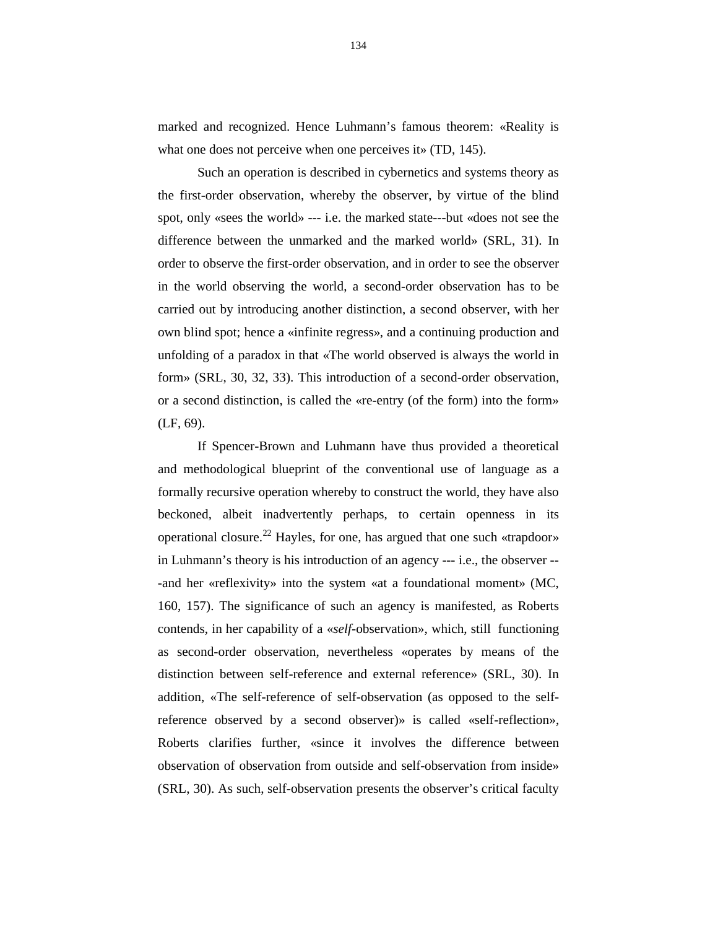marked and recognized. Hence Luhmann's famous theorem: «Reality is what one does not perceive when one perceives it» (TD, 145).

Such an operation is described in cybernetics and systems theory as the first-order observation, whereby the observer, by virtue of the blind spot, only «sees the world» --- i.e. the marked state---but «does not see the difference between the unmarked and the marked world» (SRL, 31). In order to observe the first-order observation, and in order to see the observer in the world observing the world, a second-order observation has to be carried out by introducing another distinction, a second observer, with her own blind spot; hence a «infinite regress», and a continuing production and unfolding of a paradox in that «The world observed is always the world in form» (SRL, 30, 32, 33). This introduction of a second-order observation, or a second distinction, is called the «re-entry (of the form) into the form» (LF, 69).

If Spencer-Brown and Luhmann have thus provided a theoretical and methodological blueprint of the conventional use of language as a formally recursive operation whereby to construct the world, they have also beckoned, albeit inadvertently perhaps, to certain openness in its operational closure.<sup>22</sup> Hayles, for one, has argued that one such «trapdoor» in Luhmann's theory is his introduction of an agency --- i.e., the observer -- -and her «reflexivity» into the system «at a foundational moment» (MC, 160, 157). The significance of such an agency is manifested, as Roberts contends, in her capability of a «*self*-observation», which, still functioning as second-order observation, nevertheless «operates by means of the distinction between self-reference and external reference» (SRL, 30). In addition, «The self-reference of self-observation (as opposed to the selfreference observed by a second observer)» is called «self-reflection», Roberts clarifies further, «since it involves the difference between observation of observation from outside and self-observation from inside» (SRL, 30). As such, self-observation presents the observer's critical faculty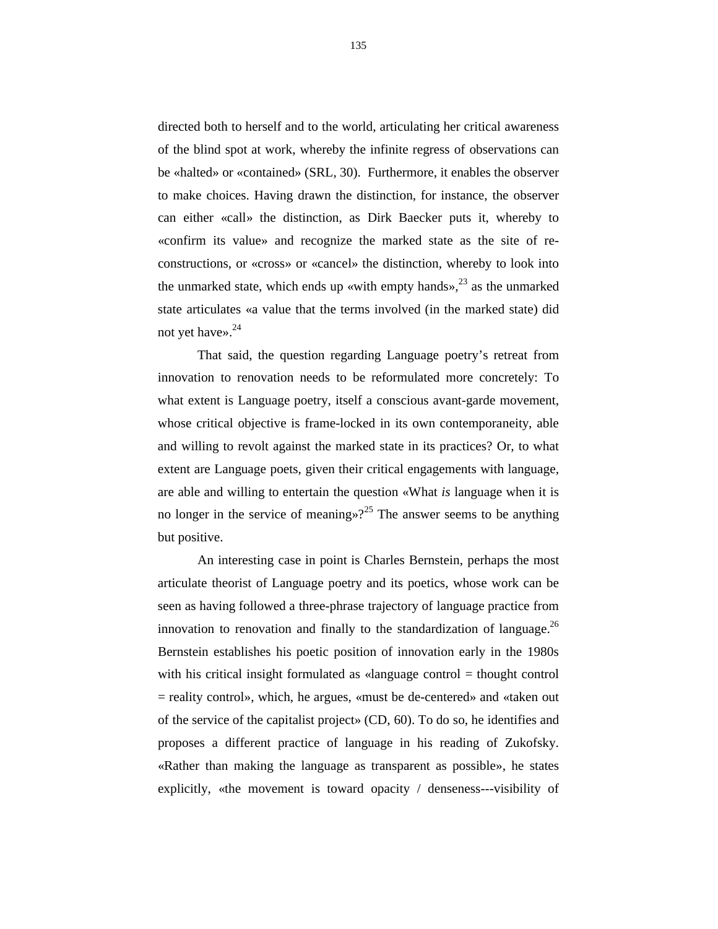directed both to herself and to the world, articulating her critical awareness of the blind spot at work, whereby the infinite regress of observations can be «halted» or «contained» (SRL, 30). Furthermore, it enables the observer to make choices. Having drawn the distinction, for instance, the observer can either «call» the distinction, as Dirk Baecker puts it, whereby to «confirm its value» and recognize the marked state as the site of reconstructions, or «cross» or «cancel» the distinction, whereby to look into the unmarked state, which ends up «with empty hands», $^{23}$  as the unmarked state articulates «a value that the terms involved (in the marked state) did not yet have». $24$ 

That said, the question regarding Language poetry's retreat from innovation to renovation needs to be reformulated more concretely: To what extent is Language poetry, itself a conscious avant-garde movement, whose critical objective is frame-locked in its own contemporaneity, able and willing to revolt against the marked state in its practices? Or, to what extent are Language poets, given their critical engagements with language, are able and willing to entertain the question «What *is* language when it is no longer in the service of meaning»?<sup>25</sup> The answer seems to be anything but positive.

An interesting case in point is Charles Bernstein, perhaps the most articulate theorist of Language poetry and its poetics, whose work can be seen as having followed a three-phrase trajectory of language practice from innovation to renovation and finally to the standardization of language.<sup>26</sup> Bernstein establishes his poetic position of innovation early in the 1980s with his critical insight formulated as «language control = thought control = reality control», which, he argues, «must be de-centered» and «taken out of the service of the capitalist project» (CD, 60). To do so, he identifies and proposes a different practice of language in his reading of Zukofsky. «Rather than making the language as transparent as possible», he states explicitly, «the movement is toward opacity / denseness---visibility of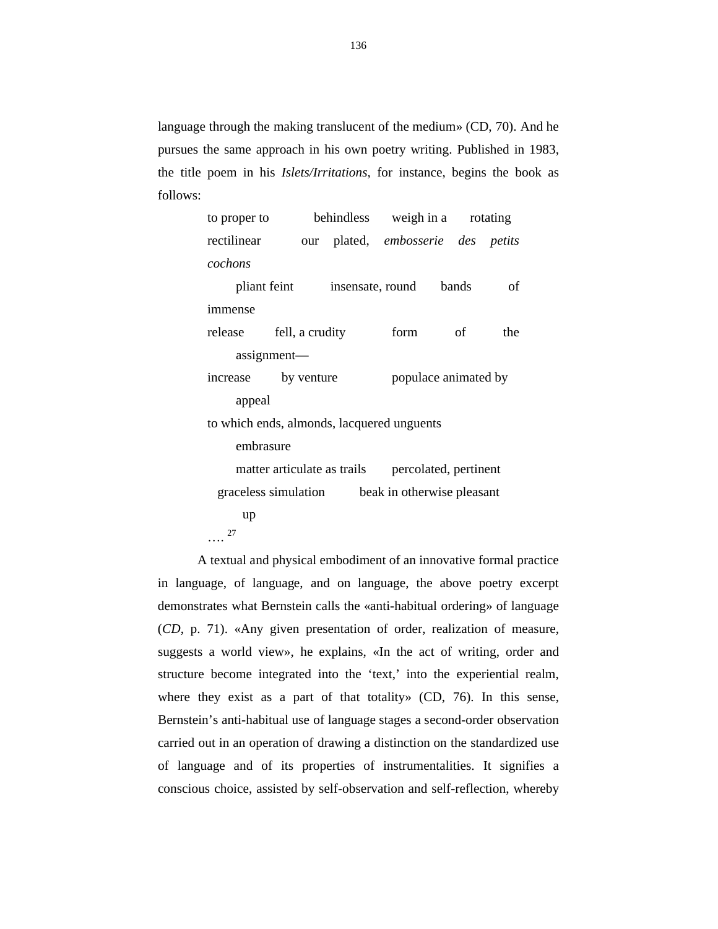language through the making translucent of the medium» (CD, 70). And he pursues the same approach in his own poetry writing. Published in 1983, the title poem in his *Islets/Irritations*, for instance, begins the book as follows:

| to proper to                                       |                     |                  |                                          |      | behindless weight in a rotating |  |
|----------------------------------------------------|---------------------|------------------|------------------------------------------|------|---------------------------------|--|
| rectilinear                                        |                     |                  | our plated, <i>embosserie</i> des petits |      |                                 |  |
| cochons                                            |                     |                  |                                          |      |                                 |  |
| pliant feint                                       |                     | insensate, round | bands                                    | of   |                                 |  |
| immense                                            |                     |                  |                                          |      |                                 |  |
| release                                            | fell, a crudity     |                  | form                                     | - of | the                             |  |
| assignment-                                        |                     |                  |                                          |      |                                 |  |
|                                                    | increase by venture |                  | populace animated by                     |      |                                 |  |
| appeal                                             |                     |                  |                                          |      |                                 |  |
| to which ends, almonds, lacquered unguents         |                     |                  |                                          |      |                                 |  |
| embrasure                                          |                     |                  |                                          |      |                                 |  |
| matter articulate as trails                        |                     |                  | percolated, pertinent                    |      |                                 |  |
| beak in otherwise pleasant<br>graceless simulation |                     |                  |                                          |      |                                 |  |
| up                                                 |                     |                  |                                          |      |                                 |  |
| 27                                                 |                     |                  |                                          |      |                                 |  |

A textual and physical embodiment of an innovative formal practice in language, of language, and on language, the above poetry excerpt demonstrates what Bernstein calls the «anti-habitual ordering» of language (*CD*, p. 71). «Any given presentation of order, realization of measure, suggests a world view», he explains, «In the act of writing, order and structure become integrated into the 'text,' into the experiential realm, where they exist as a part of that totality» (CD, 76). In this sense, Bernstein's anti-habitual use of language stages a second-order observation carried out in an operation of drawing a distinction on the standardized use of language and of its properties of instrumentalities. It signifies a conscious choice, assisted by self-observation and self-reflection, whereby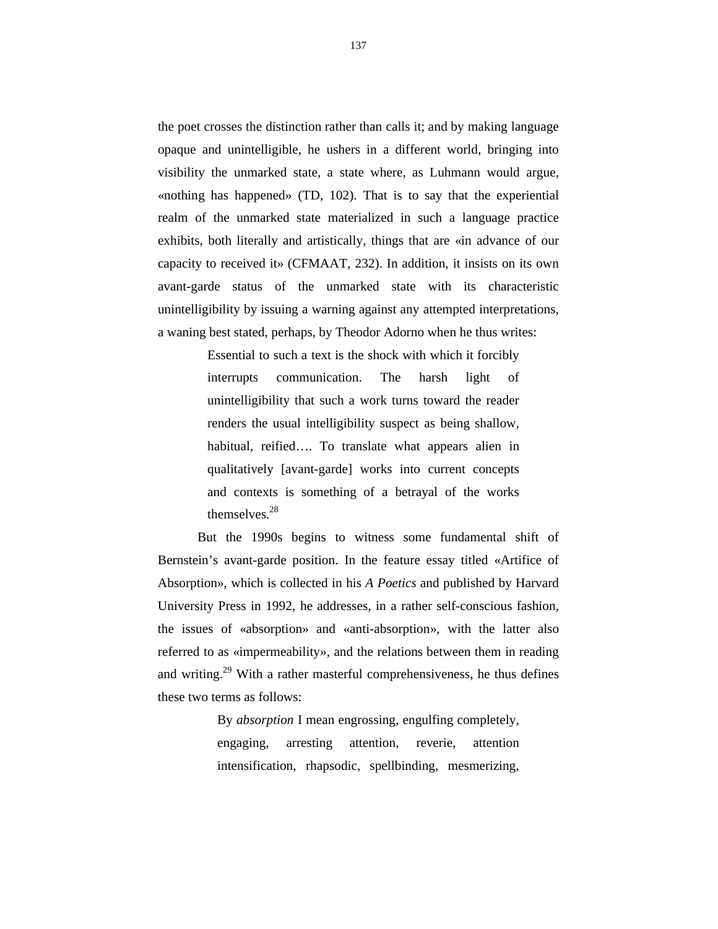the poet crosses the distinction rather than calls it; and by making language opaque and unintelligible, he ushers in a different world, bringing into visibility the unmarked state, a state where, as Luhmann would argue, «nothing has happened» (TD, 102). That is to say that the experiential realm of the unmarked state materialized in such a language practice exhibits, both literally and artistically, things that are «in advance of our capacity to received it» (CFMAAT, 232). In addition, it insists on its own avant-garde status of the unmarked state with its characteristic unintelligibility by issuing a warning against any attempted interpretations, a waning best stated, perhaps, by Theodor Adorno when he thus writes:

> Essential to such a text is the shock with which it forcibly interrupts communication. The harsh light of unintelligibility that such a work turns toward the reader renders the usual intelligibility suspect as being shallow, habitual, reified…. To translate what appears alien in qualitatively [avant-garde] works into current concepts and contexts is something of a betrayal of the works themselves. $28$

But the 1990s begins to witness some fundamental shift of Bernstein's avant-garde position. In the feature essay titled «Artifice of Absorption», which is collected in his *A Poetics* and published by Harvard University Press in 1992, he addresses, in a rather self-conscious fashion, the issues of «absorption» and «anti-absorption», with the latter also referred to as «impermeability», and the relations between them in reading and writing.<sup>29</sup> With a rather masterful comprehensiveness, he thus defines these two terms as follows:

> By *absorption* I mean engrossing, engulfing completely, engaging, arresting attention, reverie, attention intensification, rhapsodic, spellbinding, mesmerizing,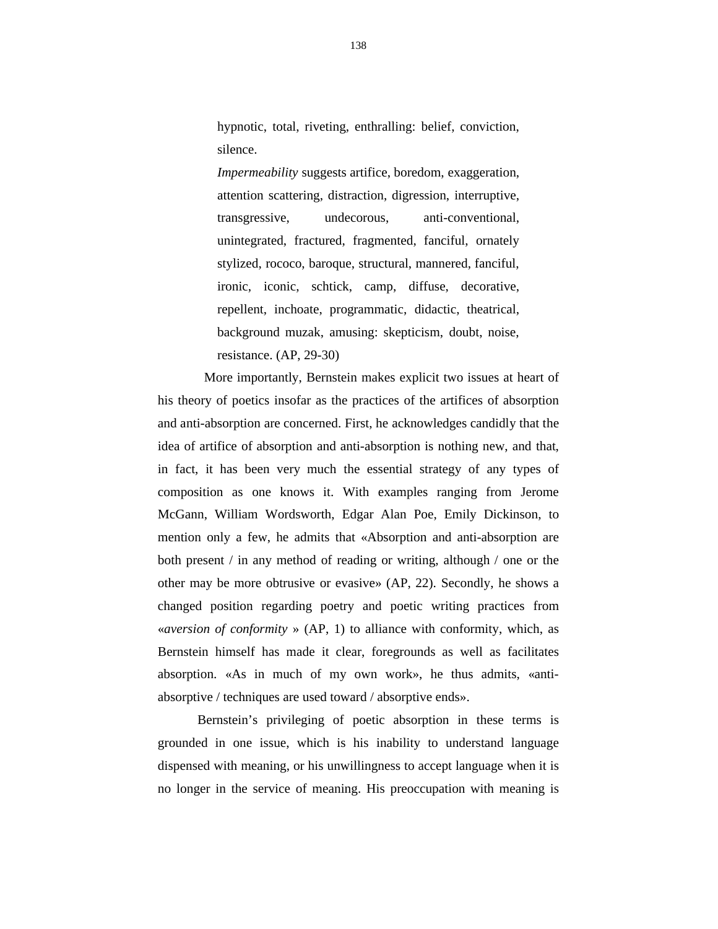hypnotic, total, riveting, enthralling: belief, conviction, silence.

*Impermeability* suggests artifice, boredom, exaggeration, attention scattering, distraction, digression, interruptive, transgressive, undecorous, anti-conventional, unintegrated, fractured, fragmented, fanciful, ornately stylized, rococo, baroque, structural, mannered, fanciful, ironic, iconic, schtick, camp, diffuse, decorative, repellent, inchoate, programmatic, didactic, theatrical, background muzak, amusing: skepticism, doubt, noise, resistance. (AP, 29-30)

 More importantly, Bernstein makes explicit two issues at heart of his theory of poetics insofar as the practices of the artifices of absorption and anti-absorption are concerned. First, he acknowledges candidly that the idea of artifice of absorption and anti-absorption is nothing new, and that, in fact, it has been very much the essential strategy of any types of composition as one knows it. With examples ranging from Jerome McGann, William Wordsworth, Edgar Alan Poe, Emily Dickinson, to mention only a few, he admits that «Absorption and anti-absorption are both present / in any method of reading or writing, although / one or the other may be more obtrusive or evasive» (AP, 22). Secondly, he shows a changed position regarding poetry and poetic writing practices from «*aversion of conformity* » (AP, 1) to alliance with conformity, which, as Bernstein himself has made it clear, foregrounds as well as facilitates absorption. «As in much of my own work», he thus admits, «antiabsorptive / techniques are used toward / absorptive ends».

Bernstein's privileging of poetic absorption in these terms is grounded in one issue, which is his inability to understand language dispensed with meaning, or his unwillingness to accept language when it is no longer in the service of meaning. His preoccupation with meaning is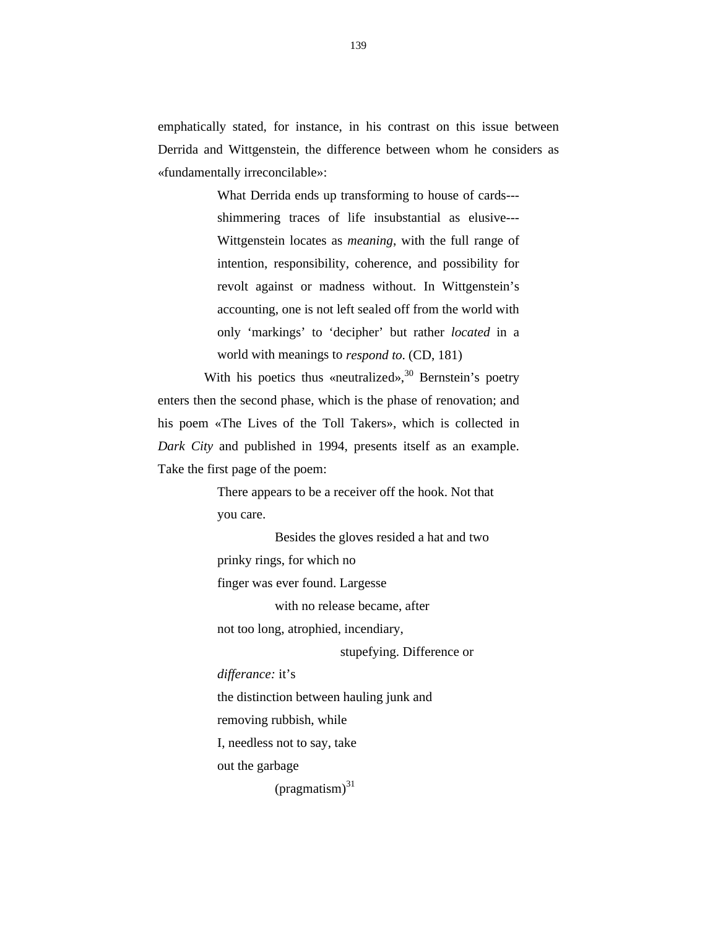emphatically stated, for instance, in his contrast on this issue between Derrida and Wittgenstein, the difference between whom he considers as «fundamentally irreconcilable»:

> What Derrida ends up transforming to house of cards-- shimmering traces of life insubstantial as elusive--- Wittgenstein locates as *meaning*, with the full range of intention, responsibility, coherence, and possibility for revolt against or madness without. In Wittgenstein's accounting, one is not left sealed off from the world with only 'markings' to 'decipher' but rather *located* in a world with meanings to *respond to*. (CD, 181)

With his poetics thus «neutralized»,  $30$  Bernstein's poetry enters then the second phase, which is the phase of renovation; and his poem «The Lives of the Toll Takers», which is collected in *Dark City* and published in 1994, presents itself as an example. Take the first page of the poem:

> There appears to be a receiver off the hook. Not that you care.

Besides the gloves resided a hat and two prinky rings, for which no finger was ever found. Largesse with no release became, after

not too long, atrophied, incendiary,

stupefying. Difference or

*differance:* it's

the distinction between hauling junk and

removing rubbish, while

I, needless not to say, take

out the garbage

 $(pragmatism)^{31}$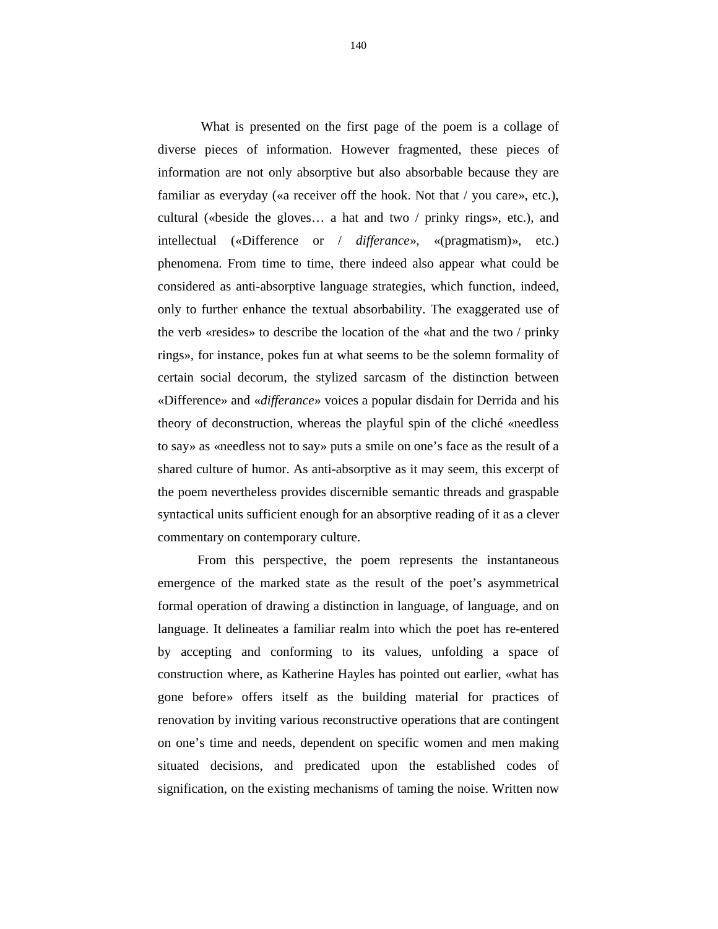What is presented on the first page of the poem is a collage of diverse pieces of information. However fragmented, these pieces of information are not only absorptive but also absorbable because they are familiar as everyday («a receiver off the hook. Not that / you care», etc.), cultural («beside the gloves… a hat and two / prinky rings», etc.), and intellectual («Difference or / *differance*», «(pragmatism)», etc.) phenomena. From time to time, there indeed also appear what could be considered as anti-absorptive language strategies, which function, indeed, only to further enhance the textual absorbability. The exaggerated use of the verb «resides» to describe the location of the «hat and the two / prinky rings», for instance, pokes fun at what seems to be the solemn formality of certain social decorum, the stylized sarcasm of the distinction between «Difference» and «*differance*» voices a popular disdain for Derrida and his theory of deconstruction, whereas the playful spin of the cliché «needless to say» as «needless not to say» puts a smile on one's face as the result of a shared culture of humor. As anti-absorptive as it may seem, this excerpt of the poem nevertheless provides discernible semantic threads and graspable syntactical units sufficient enough for an absorptive reading of it as a clever commentary on contemporary culture.

From this perspective, the poem represents the instantaneous emergence of the marked state as the result of the poet's asymmetrical formal operation of drawing a distinction in language, of language, and on language. It delineates a familiar realm into which the poet has re-entered by accepting and conforming to its values, unfolding a space of construction where, as Katherine Hayles has pointed out earlier, «what has gone before» offers itself as the building material for practices of renovation by inviting various reconstructive operations that are contingent on one's time and needs, dependent on specific women and men making situated decisions, and predicated upon the established codes of signification, on the existing mechanisms of taming the noise. Written now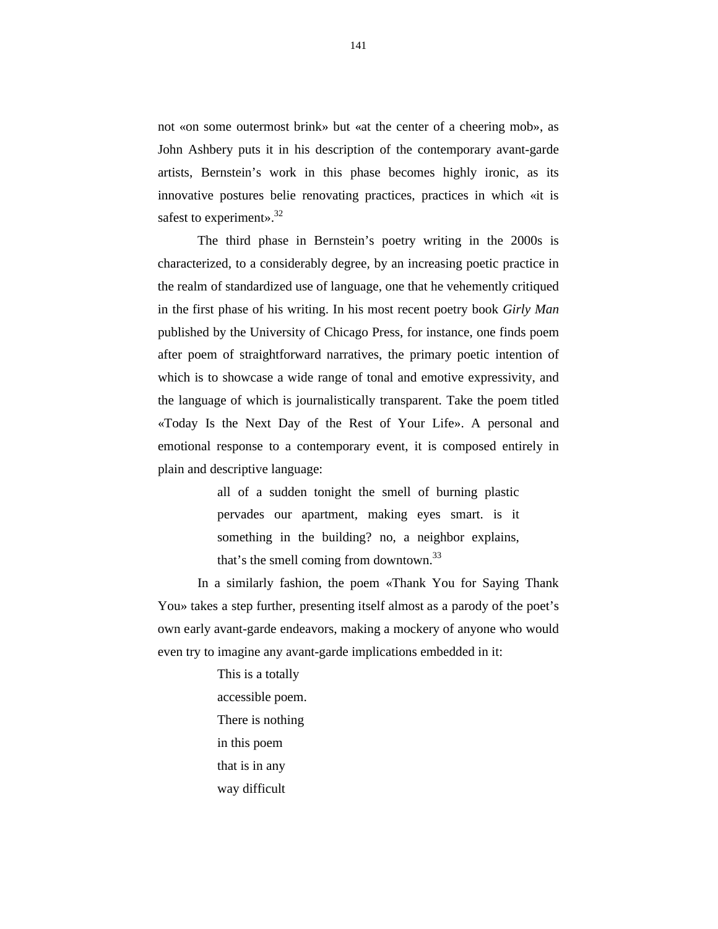not «on some outermost brink» but «at the center of a cheering mob», as John Ashbery puts it in his description of the contemporary avant-garde artists, Bernstein's work in this phase becomes highly ironic, as its innovative postures belie renovating practices, practices in which «it is safest to experiment».<sup>32</sup>

The third phase in Bernstein's poetry writing in the 2000s is characterized, to a considerably degree, by an increasing poetic practice in the realm of standardized use of language, one that he vehemently critiqued in the first phase of his writing. In his most recent poetry book *Girly Man* published by the University of Chicago Press, for instance, one finds poem after poem of straightforward narratives, the primary poetic intention of which is to showcase a wide range of tonal and emotive expressivity, and the language of which is journalistically transparent. Take the poem titled «Today Is the Next Day of the Rest of Your Life». A personal and emotional response to a contemporary event, it is composed entirely in plain and descriptive language:

> all of a sudden tonight the smell of burning plastic pervades our apartment, making eyes smart. is it something in the building? no, a neighbor explains, that's the smell coming from downtown.<sup>33</sup>

In a similarly fashion, the poem «Thank You for Saying Thank You» takes a step further, presenting itself almost as a parody of the poet's own early avant-garde endeavors, making a mockery of anyone who would even try to imagine any avant-garde implications embedded in it:

> This is a totally accessible poem. There is nothing in this poem that is in any way difficult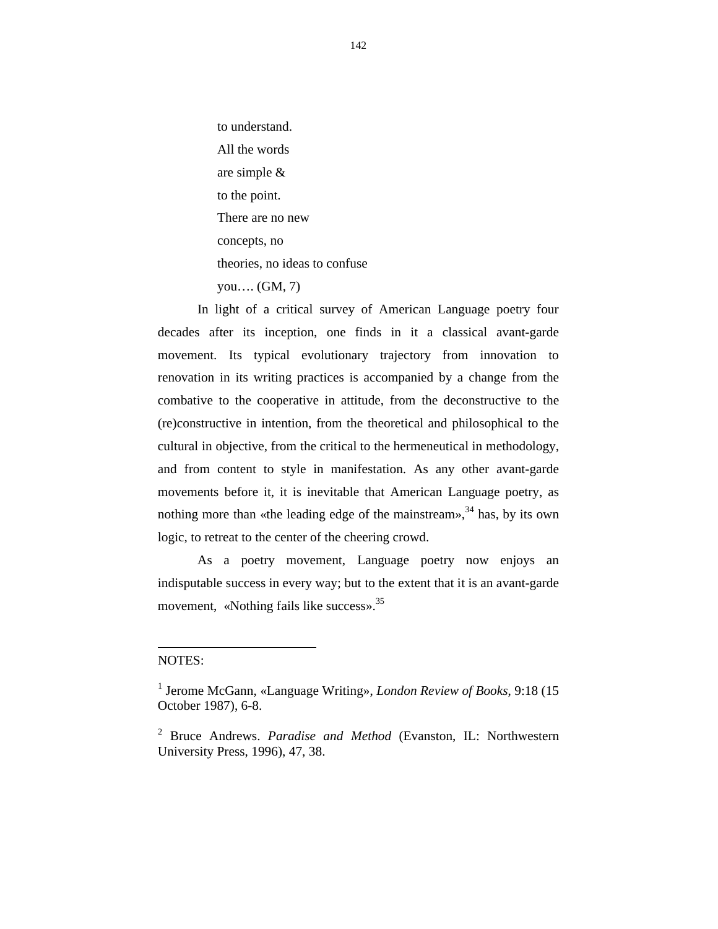to understand. All the words are simple & to the point. There are no new concepts, no theories, no ideas to confuse you…. (GM, 7)

In light of a critical survey of American Language poetry four decades after its inception, one finds in it a classical avant-garde movement. Its typical evolutionary trajectory from innovation to renovation in its writing practices is accompanied by a change from the combative to the cooperative in attitude, from the deconstructive to the (re)constructive in intention, from the theoretical and philosophical to the cultural in objective, from the critical to the hermeneutical in methodology, and from content to style in manifestation. As any other avant-garde movements before it, it is inevitable that American Language poetry, as nothing more than «the leading edge of the mainstream»,  $34$  has, by its own logic, to retreat to the center of the cheering crowd.

As a poetry movement, Language poetry now enjoys an indisputable success in every way; but to the extent that it is an avant-garde movement, «Nothing fails like success».<sup>35</sup>

## NOTES:

 $\overline{a}$ 

<sup>1</sup> Jerome McGann, «Language Writing», *London Review of Books*, 9:18 (15 October 1987), 6-8.

<sup>2</sup> Bruce Andrews. *Paradise and Method* (Evanston, IL: Northwestern University Press, 1996), 47, 38.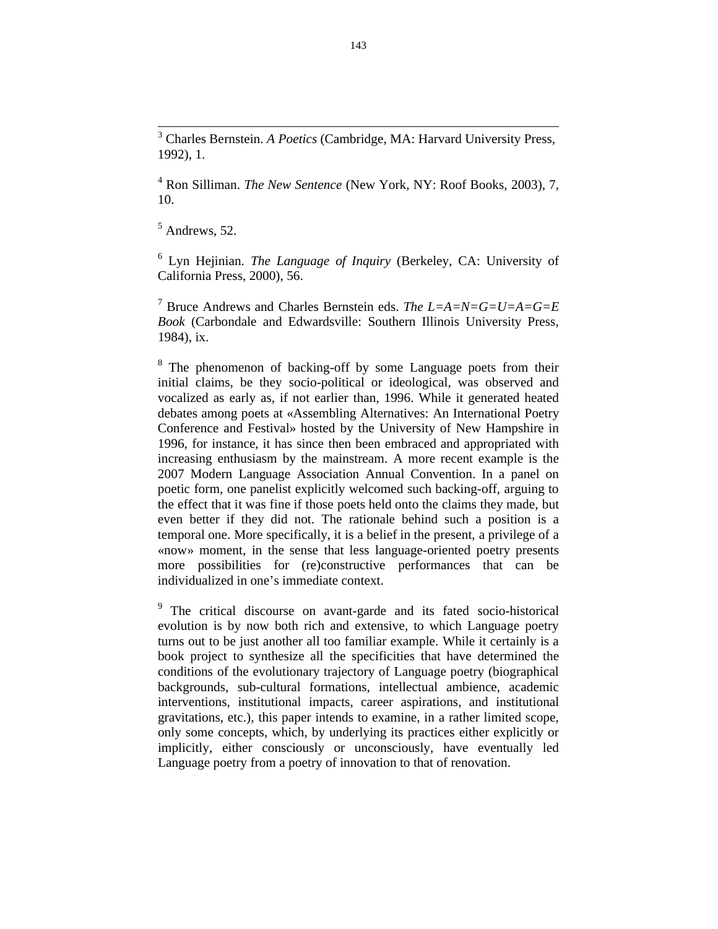<sup>3</sup> Charles Bernstein. *A Poetics* (Cambridge, MA: Harvard University Press, 1992), 1.

<sup>4</sup> Ron Silliman. *The New Sentence* (New York, NY: Roof Books, 2003), 7, 10.

 $<sup>5</sup>$  Andrews, 52.</sup>

 $\overline{a}$ 

<sup>6</sup> Lyn Hejinian. *The Language of Inquiry* (Berkeley, CA: University of California Press, 2000), 56.

<sup>7</sup> Bruce Andrews and Charles Bernstein eds. *The L=A=N=G=U=A=G=E Book* (Carbondale and Edwardsville: Southern Illinois University Press, 1984), ix.

<sup>8</sup> The phenomenon of backing-off by some Language poets from their initial claims, be they socio-political or ideological, was observed and vocalized as early as, if not earlier than, 1996. While it generated heated debates among poets at «Assembling Alternatives: An International Poetry Conference and Festival» hosted by the University of New Hampshire in 1996, for instance, it has since then been embraced and appropriated with increasing enthusiasm by the mainstream. A more recent example is the 2007 Modern Language Association Annual Convention. In a panel on poetic form, one panelist explicitly welcomed such backing-off, arguing to the effect that it was fine if those poets held onto the claims they made, but even better if they did not. The rationale behind such a position is a temporal one. More specifically, it is a belief in the present, a privilege of a «now» moment, in the sense that less language-oriented poetry presents more possibilities for (re)constructive performances that can be individualized in one's immediate context.

<sup>9</sup> The critical discourse on avant-garde and its fated socio-historical evolution is by now both rich and extensive, to which Language poetry turns out to be just another all too familiar example. While it certainly is a book project to synthesize all the specificities that have determined the conditions of the evolutionary trajectory of Language poetry (biographical backgrounds, sub-cultural formations, intellectual ambience, academic interventions, institutional impacts, career aspirations, and institutional gravitations, etc.), this paper intends to examine, in a rather limited scope, only some concepts, which, by underlying its practices either explicitly or implicitly, either consciously or unconsciously, have eventually led Language poetry from a poetry of innovation to that of renovation.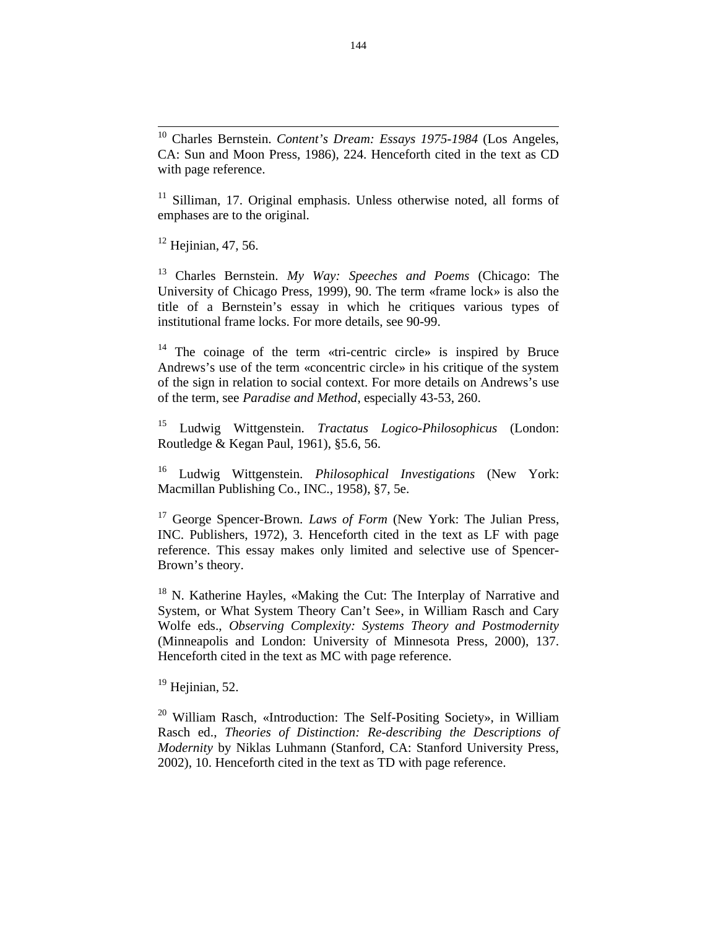<sup>11</sup> Silliman, 17. Original emphasis. Unless otherwise noted, all forms of emphases are to the original.

 $12$  Heiinian, 47, 56.

<sup>13</sup> Charles Bernstein. *My Way: Speeches and Poems* (Chicago: The University of Chicago Press, 1999), 90. The term «frame lock» is also the title of a Bernstein's essay in which he critiques various types of institutional frame locks. For more details, see 90-99.

<sup>14</sup> The coinage of the term «tri-centric circle» is inspired by Bruce Andrews's use of the term «concentric circle» in his critique of the system of the sign in relation to social context. For more details on Andrews's use of the term, see *Paradise and Method*, especially 43-53, 260.

<sup>15</sup> Ludwig Wittgenstein. *Tractatus Logico-Philosophicus* (London: Routledge & Kegan Paul, 1961), §5.6, 56.

<sup>16</sup> Ludwig Wittgenstein. *Philosophical Investigations* (New York: Macmillan Publishing Co., INC., 1958), §7, 5e.

<sup>17</sup> George Spencer-Brown*. Laws of Form* (New York: The Julian Press, INC. Publishers, 1972), 3. Henceforth cited in the text as LF with page reference. This essay makes only limited and selective use of Spencer-Brown's theory.

<sup>18</sup> N. Katherine Hayles, «Making the Cut: The Interplay of Narrative and System, or What System Theory Can't See», in William Rasch and Cary Wolfe eds., *Observing Complexity: Systems Theory and Postmodernity* (Minneapolis and London: University of Minnesota Press, 2000), 137. Henceforth cited in the text as MC with page reference.

 $19$  Heiinian, 52.

<sup>20</sup> William Rasch, «Introduction: The Self-Positing Society», in William Rasch ed., *Theories of Distinction: Re-describing the Descriptions of Modernity* by Niklas Luhmann (Stanford, CA: Stanford University Press, 2002), 10. Henceforth cited in the text as TD with page reference.

 $10\,$ <sup>10</sup> Charles Bernstein. *Content's Dream: Essays 1975-1984* (Los Angeles, CA: Sun and Moon Press, 1986), 224. Henceforth cited in the text as CD with page reference.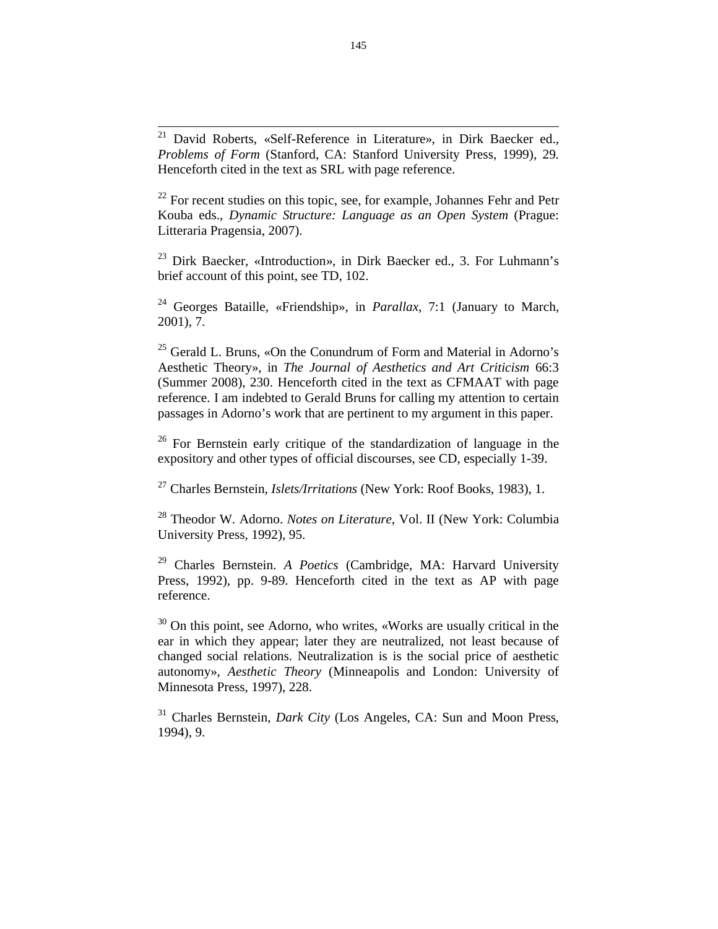$21\,$ <sup>21</sup> David Roberts, «Self-Reference in Literature», in Dirk Baecker ed., *Problems of Form* (Stanford, CA: Stanford University Press, 1999), 29. Henceforth cited in the text as SRL with page reference.

 $22$  For recent studies on this topic, see, for example, Johannes Fehr and Petr Kouba eds., *Dynamic Structure: Language as an Open System* (Prague: Litteraria Pragensia, 2007).

<sup>23</sup> Dirk Baecker, «Introduction», in Dirk Baecker ed., 3. For Luhmann's brief account of this point, see TD, 102.

<sup>24</sup> Georges Bataille, «Friendship», in *Parallax*, 7:1 (January to March, 2001), 7.

 $^{25}$  Gerald L. Bruns, «On the Conundrum of Form and Material in Adorno's Aesthetic Theory», in *The Journal of Aesthetics and Art Criticism* 66:3 (Summer 2008), 230. Henceforth cited in the text as CFMAAT with page reference. I am indebted to Gerald Bruns for calling my attention to certain passages in Adorno's work that are pertinent to my argument in this paper.

 $26$  For Bernstein early critique of the standardization of language in the expository and other types of official discourses, see CD, especially 1-39.

<sup>27</sup> Charles Bernstein, *Islets/Irritations* (New York: Roof Books, 1983), 1.

<sup>28</sup> Theodor W. Adorno. *Notes on Literature*, Vol. II (New York: Columbia University Press, 1992), 95.

<sup>29</sup> Charles Bernstein. *A Poetics* (Cambridge, MA: Harvard University Press, 1992), pp. 9-89. Henceforth cited in the text as AP with page reference.

 $30$  On this point, see Adorno, who writes, «Works are usually critical in the ear in which they appear; later they are neutralized, not least because of changed social relations. Neutralization is is the social price of aesthetic autonomy», *Aesthetic Theory* (Minneapolis and London: University of Minnesota Press, 1997), 228.

<sup>31</sup> Charles Bernstein, *Dark City* (Los Angeles, CA: Sun and Moon Press, 1994), 9.